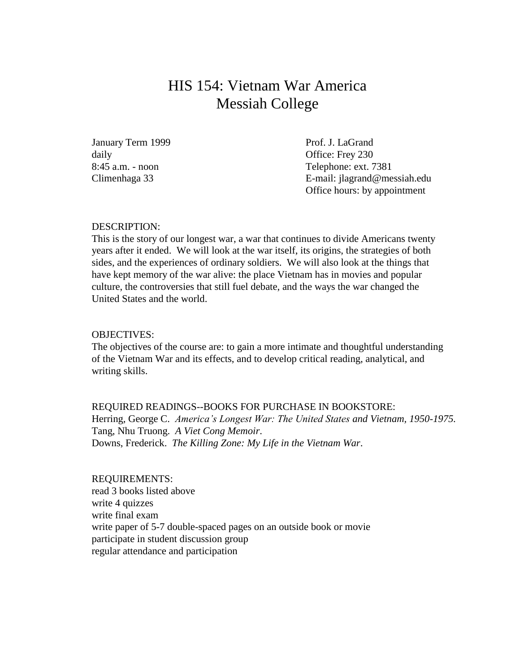## HIS 154: Vietnam War America Messiah College

January Term 1999 Prof. J. LaGrand daily daily office: Frey 230

8:45 a.m. - noon Telephone: ext. 7381 Climenhaga 33 E-mail: jlagrand@messiah.edu Office hours: by appointment

#### DESCRIPTION:

This is the story of our longest war, a war that continues to divide Americans twenty years after it ended. We will look at the war itself, its origins, the strategies of both sides, and the experiences of ordinary soldiers. We will also look at the things that have kept memory of the war alive: the place Vietnam has in movies and popular culture, the controversies that still fuel debate, and the ways the war changed the United States and the world.

#### OBJECTIVES:

The objectives of the course are: to gain a more intimate and thoughtful understanding of the Vietnam War and its effects, and to develop critical reading, analytical, and writing skills.

REQUIRED READINGS--BOOKS FOR PURCHASE IN BOOKSTORE: Herring, George C. *America's Longest War: The United States and Vietnam, 1950-1975.* Tang, Nhu Truong. *A Viet Cong Memoir*. Downs, Frederick. *The Killing Zone: My Life in the Vietnam War*.

#### REQUIREMENTS:

read 3 books listed above write 4 quizzes write final exam write paper of 5-7 double-spaced pages on an outside book or movie participate in student discussion group regular attendance and participation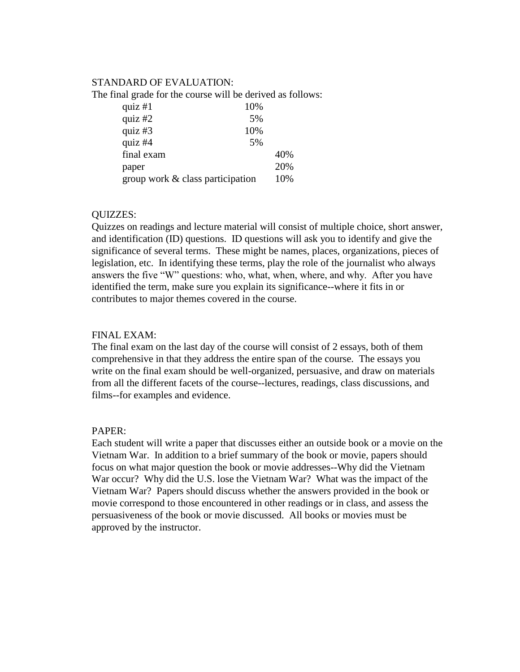### STANDARD OF EVALUATION:

The final grade for the course will be derived as follows:

| quiz $#1$                        | 10% |     |
|----------------------------------|-----|-----|
| quiz $#2$                        | 5%  |     |
| quiz $#3$                        | 10% |     |
| quiz #4                          | 5%  |     |
| final exam                       |     | 40% |
| paper                            |     | 20% |
| group work & class participation |     | 10% |

## QUIZZES:

Quizzes on readings and lecture material will consist of multiple choice, short answer, and identification (ID) questions. ID questions will ask you to identify and give the significance of several terms. These might be names, places, organizations, pieces of legislation, etc. In identifying these terms, play the role of the journalist who always answers the five "W" questions: who, what, when, where, and why. After you have identified the term, make sure you explain its significance--where it fits in or contributes to major themes covered in the course.

### FINAL EXAM:

The final exam on the last day of the course will consist of 2 essays, both of them comprehensive in that they address the entire span of the course. The essays you write on the final exam should be well-organized, persuasive, and draw on materials from all the different facets of the course--lectures, readings, class discussions, and films--for examples and evidence.

#### PAPER:

Each student will write a paper that discusses either an outside book or a movie on the Vietnam War. In addition to a brief summary of the book or movie, papers should focus on what major question the book or movie addresses--Why did the Vietnam War occur? Why did the U.S. lose the Vietnam War? What was the impact of the Vietnam War? Papers should discuss whether the answers provided in the book or movie correspond to those encountered in other readings or in class, and assess the persuasiveness of the book or movie discussed. All books or movies must be approved by the instructor.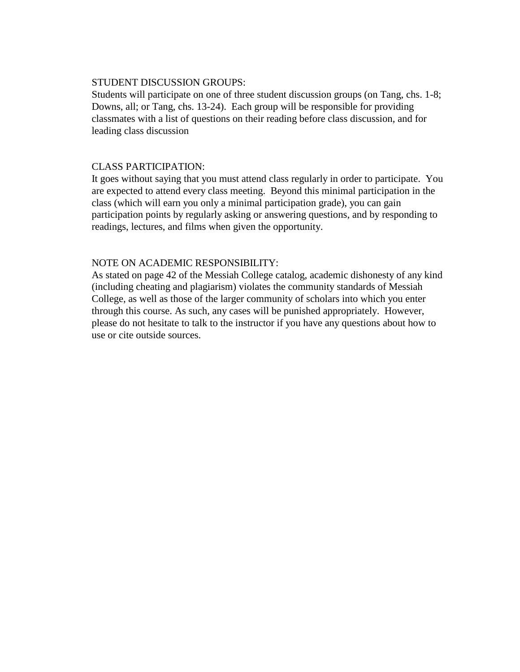## STUDENT DISCUSSION GROUPS:

Students will participate on one of three student discussion groups (on Tang, chs. 1-8; Downs, all; or Tang, chs. 13-24). Each group will be responsible for providing classmates with a list of questions on their reading before class discussion, and for leading class discussion

## CLASS PARTICIPATION:

It goes without saying that you must attend class regularly in order to participate. You are expected to attend every class meeting. Beyond this minimal participation in the class (which will earn you only a minimal participation grade), you can gain participation points by regularly asking or answering questions, and by responding to readings, lectures, and films when given the opportunity.

## NOTE ON ACADEMIC RESPONSIBILITY:

As stated on page 42 of the Messiah College catalog, academic dishonesty of any kind (including cheating and plagiarism) violates the community standards of Messiah College, as well as those of the larger community of scholars into which you enter through this course. As such, any cases will be punished appropriately. However, please do not hesitate to talk to the instructor if you have any questions about how to use or cite outside sources.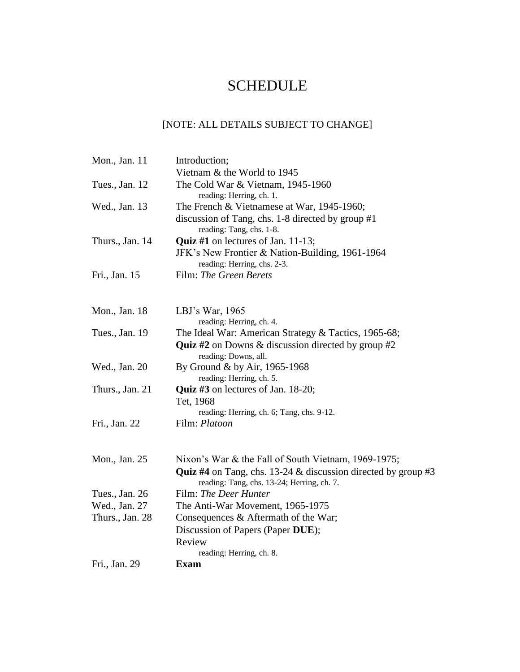# **SCHEDULE**

## [NOTE: ALL DETAILS SUBJECT TO CHANGE]

| Mon., Jan. 11   | Introduction;                                                                                                         |
|-----------------|-----------------------------------------------------------------------------------------------------------------------|
|                 | Vietnam & the World to 1945                                                                                           |
| Tues., Jan. 12  | The Cold War & Vietnam, 1945-1960<br>reading: Herring, ch. 1.                                                         |
| Wed., Jan. 13   | The French $&$ Vietnamese at War, 1945-1960;                                                                          |
|                 | discussion of Tang, chs. 1-8 directed by group #1<br>reading: Tang, chs. 1-8.                                         |
| Thurs., Jan. 14 | <b>Quiz</b> #1 on lectures of Jan. $11-13$ ;                                                                          |
|                 | JFK's New Frontier & Nation-Building, 1961-1964<br>reading: Herring, chs. 2-3.                                        |
| Fri., Jan. 15   | Film: The Green Berets                                                                                                |
| Mon., Jan. 18   | LBJ's War, $1965$                                                                                                     |
|                 | reading: Herring, ch. 4.                                                                                              |
| Tues., Jan. 19  | The Ideal War: American Strategy & Tactics, 1965-68;                                                                  |
|                 | <b>Quiz #2</b> on Downs & discussion directed by group #2                                                             |
| Wed., Jan. 20   | reading: Downs, all.<br>By Ground & by Air, 1965-1968                                                                 |
|                 | reading: Herring, ch. 5.                                                                                              |
| Thurs., Jan. 21 | <b>Quiz #3</b> on lectures of Jan. $18-20$ ;                                                                          |
|                 | Tet, 1968                                                                                                             |
|                 | reading: Herring, ch. 6; Tang, chs. 9-12.                                                                             |
| Fri., Jan. 22   | Film: Platoon                                                                                                         |
| Mon., Jan. 25   | Nixon's War & the Fall of South Vietnam, 1969-1975;                                                                   |
|                 | <b>Quiz #4</b> on Tang, chs. 13-24 $\&$ discussion directed by group #3<br>reading: Tang, chs. 13-24; Herring, ch. 7. |
| Tues., Jan. 26  | Film: The Deer Hunter                                                                                                 |
| Wed., Jan. 27   | The Anti-War Movement, 1965-1975                                                                                      |
| Thurs., Jan. 28 | Consequences & Aftermath of the War;                                                                                  |
|                 | Discussion of Papers (Paper DUE);                                                                                     |
|                 | Review                                                                                                                |
| Fri., Jan. 29   | reading: Herring, ch. 8.<br><b>Exam</b>                                                                               |
|                 |                                                                                                                       |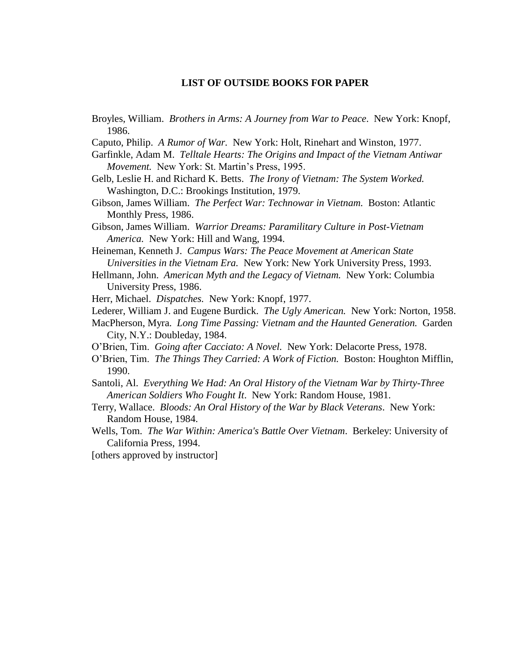#### **LIST OF OUTSIDE BOOKS FOR PAPER**

- Broyles, William. *Brothers in Arms: A Journey from War to Peace*. New York: Knopf, 1986.
- Caputo, Philip. *A Rumor of War.* New York: Holt, Rinehart and Winston, 1977.
- Garfinkle, Adam M. *Telltale Hearts: The Origins and Impact of the Vietnam Antiwar Movement.* New York: St. Martin's Press, 1995.
- Gelb, Leslie H. and Richard K. Betts. *The Irony of Vietnam: The System Worked.*  Washington, D.C.: Brookings Institution, 1979.
- Gibson, James William. *The Perfect War: Technowar in Vietnam.* Boston: Atlantic Monthly Press, 1986.
- Gibson, James William. *Warrior Dreams: Paramilitary Culture in Post-Vietnam America.* New York: Hill and Wang, 1994.
- Heineman, Kenneth J. *Campus Wars: The Peace Movement at American State Universities in the Vietnam Era.* New York: New York University Press, 1993.
- Hellmann, John. *American Myth and the Legacy of Vietnam.* New York: Columbia University Press, 1986.
- Herr, Michael. *Dispatches.* New York: Knopf, 1977.
- Lederer, William J. and Eugene Burdick. *The Ugly American.* New York: Norton, 1958.
- MacPherson, Myra. *Long Time Passing: Vietnam and the Haunted Generation.* Garden City, N.Y.: Doubleday, 1984.
- O'Brien, Tim. *Going after Cacciato: A Novel.* New York: Delacorte Press, 1978.
- O'Brien, Tim. *The Things They Carried: A Work of Fiction.* Boston: Houghton Mifflin, 1990.
- Santoli, Al. *Everything We Had: An Oral History of the Vietnam War by Thirty-Three American Soldiers Who Fought It*. New York: Random House, 1981.
- Terry, Wallace. *Bloods: An Oral History of the War by Black Veterans*. New York: Random House, 1984.
- Wells, Tom. *The War Within: America's Battle Over Vietnam*. Berkeley: University of California Press, 1994.
- [others approved by instructor]